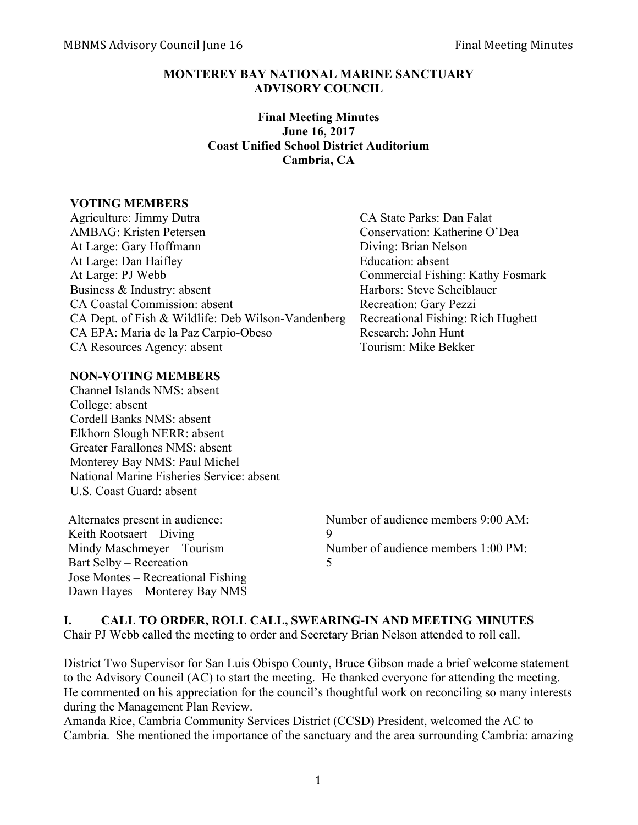#### **MONTEREY BAY NATIONAL MARINE SANCTUARY ADVISORY COUNCIL**

#### **Final Meeting Minutes June 16, 2017 Coast Unified School District Auditorium Cambria, CA**

#### **VOTING MEMBERS**

| Agriculture: Jimmy Dutra                           | CA State Parks: Dan Falat          |
|----------------------------------------------------|------------------------------------|
| <b>AMBAG:</b> Kristen Petersen                     | Conservation: Katherine O'Dea      |
| At Large: Gary Hoffmann                            | Diving: Brian Nelson               |
| At Large: Dan Haifley                              | Education: absent                  |
| At Large: PJ Webb                                  | Commercial Fishing: Kathy Fosmark  |
| Business & Industry: absent                        | Harbors: Steve Scheiblauer         |
| CA Coastal Commission: absent                      | Recreation: Gary Pezzi             |
| CA Dept. of Fish & Wildlife: Deb Wilson-Vandenberg | Recreational Fishing: Rich Hughett |
| CA EPA: Maria de la Paz Carpio-Obeso               | Research: John Hunt                |
| CA Resources Agency: absent                        | Tourism: Mike Bekker               |
|                                                    |                                    |

#### **NON-VOTING MEMBERS**

Channel Islands NMS: absent College: absent Cordell Banks NMS: absent Elkhorn Slough NERR: absent Greater Farallones NMS: absent Monterey Bay NMS: Paul Michel National Marine Fisheries Service: absent U.S. Coast Guard: absent

Keith Rootsaert – Diving 9 Bart Selby – Recreation 5 Jose Montes – Recreational Fishing Dawn Hayes – Monterey Bay NMS

Alternates present in audience: Number of audience members 9:00 AM: Mindy Maschmeyer – Tourism Number of audience members 1:00 PM:

#### **I. CALL TO ORDER, ROLL CALL, SWEARING-IN AND MEETING MINUTES**

Chair PJ Webb called the meeting to order and Secretary Brian Nelson attended to roll call.

District Two Supervisor for San Luis Obispo County, Bruce Gibson made a brief welcome statement to the Advisory Council (AC) to start the meeting. He thanked everyone for attending the meeting. He commented on his appreciation for the council's thoughtful work on reconciling so many interests during the Management Plan Review.

Amanda Rice, Cambria Community Services District (CCSD) President, welcomed the AC to Cambria. She mentioned the importance of the sanctuary and the area surrounding Cambria: amazing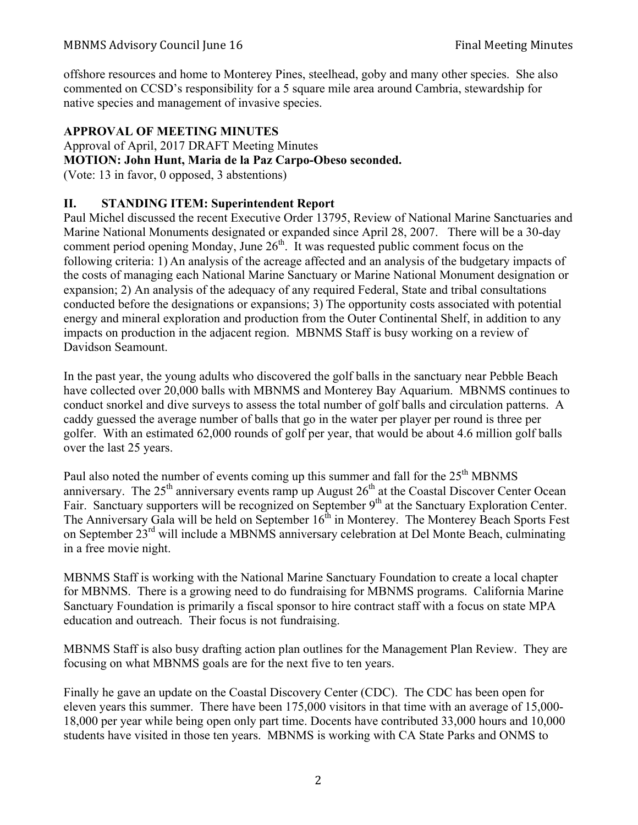offshore resources and home to Monterey Pines, steelhead, goby and many other species. She also commented on CCSD's responsibility for a 5 square mile area around Cambria, stewardship for native species and management of invasive species.

# **APPROVAL OF MEETING MINUTES**

Approval of April, 2017 DRAFT Meeting Minutes **MOTION: John Hunt, Maria de la Paz Carpo-Obeso seconded.**

(Vote: 13 in favor, 0 opposed, 3 abstentions)

# **II. STANDING ITEM: Superintendent Report**

Paul Michel discussed the recent Executive Order 13795, Review of National Marine Sanctuaries and Marine National Monuments designated or expanded since April 28, 2007. There will be a 30-day comment period opening Monday, June  $26<sup>th</sup>$ . It was requested public comment focus on the following criteria: 1) An analysis of the acreage affected and an analysis of the budgetary impacts of the costs of managing each National Marine Sanctuary or Marine National Monument designation or expansion; 2) An analysis of the adequacy of any required Federal, State and tribal consultations conducted before the designations or expansions; 3) The opportunity costs associated with potential energy and mineral exploration and production from the Outer Continental Shelf, in addition to any impacts on production in the adjacent region. MBNMS Staff is busy working on a review of Davidson Seamount.

In the past year, the young adults who discovered the golf balls in the sanctuary near Pebble Beach have collected over 20,000 balls with MBNMS and Monterey Bay Aquarium. MBNMS continues to conduct snorkel and dive surveys to assess the total number of golf balls and circulation patterns. A caddy guessed the average number of balls that go in the water per player per round is three per golfer. With an estimated 62,000 rounds of golf per year, that would be about 4.6 million golf balls over the last 25 years.

Paul also noted the number of events coming up this summer and fall for the  $25<sup>th</sup>$  MBNMS anniversary. The  $25<sup>th</sup>$  anniversary events ramp up August  $26<sup>th</sup>$  at the Coastal Discover Center Ocean Fair. Sanctuary supporters will be recognized on September 9<sup>th</sup> at the Sanctuary Exploration Center. The Anniversary Gala will be held on September  $16<sup>th</sup>$  in Monterey. The Monterey Beach Sports Fest on September 23<sup>rd</sup> will include a MBNMS anniversary celebration at Del Monte Beach, culminating in a free movie night.

MBNMS Staff is working with the National Marine Sanctuary Foundation to create a local chapter for MBNMS. There is a growing need to do fundraising for MBNMS programs. California Marine Sanctuary Foundation is primarily a fiscal sponsor to hire contract staff with a focus on state MPA education and outreach. Their focus is not fundraising.

MBNMS Staff is also busy drafting action plan outlines for the Management Plan Review. They are focusing on what MBNMS goals are for the next five to ten years.

Finally he gave an update on the Coastal Discovery Center (CDC). The CDC has been open for eleven years this summer. There have been 175,000 visitors in that time with an average of 15,000- 18,000 per year while being open only part time. Docents have contributed 33,000 hours and 10,000 students have visited in those ten years. MBNMS is working with CA State Parks and ONMS to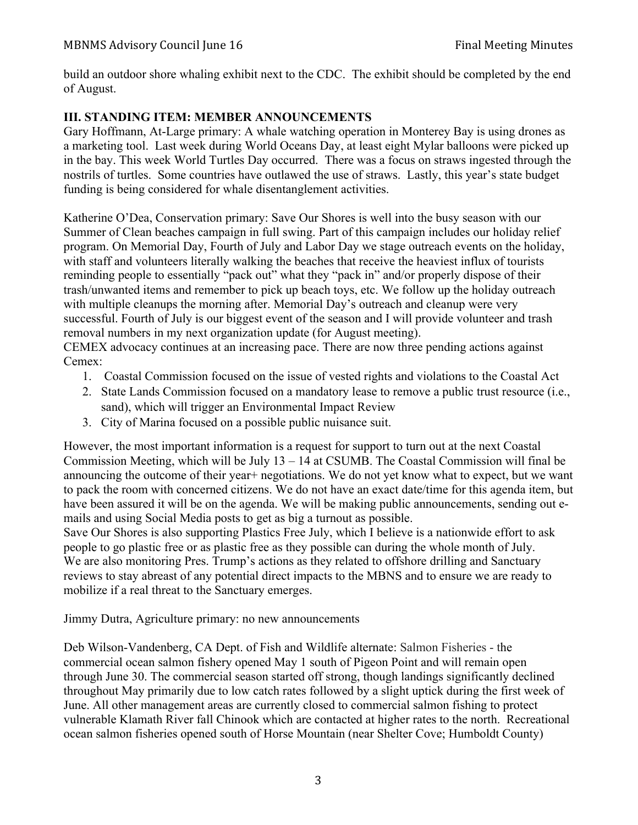build an outdoor shore whaling exhibit next to the CDC. The exhibit should be completed by the end of August.

## **III. STANDING ITEM: MEMBER ANNOUNCEMENTS**

Gary Hoffmann, At-Large primary: A whale watching operation in Monterey Bay is using drones as a marketing tool. Last week during World Oceans Day, at least eight Mylar balloons were picked up in the bay. This week World Turtles Day occurred. There was a focus on straws ingested through the nostrils of turtles. Some countries have outlawed the use of straws. Lastly, this year's state budget funding is being considered for whale disentanglement activities.

Katherine O'Dea, Conservation primary: Save Our Shores is well into the busy season with our Summer of Clean beaches campaign in full swing. Part of this campaign includes our holiday relief program. On Memorial Day, Fourth of July and Labor Day we stage outreach events on the holiday, with staff and volunteers literally walking the beaches that receive the heaviest influx of tourists reminding people to essentially "pack out" what they "pack in" and/or properly dispose of their trash/unwanted items and remember to pick up beach toys, etc. We follow up the holiday outreach with multiple cleanups the morning after. Memorial Day's outreach and cleanup were very successful. Fourth of July is our biggest event of the season and I will provide volunteer and trash removal numbers in my next organization update (for August meeting).

CEMEX advocacy continues at an increasing pace. There are now three pending actions against Cemex:

- 1. Coastal Commission focused on the issue of vested rights and violations to the Coastal Act
- 2. State Lands Commission focused on a mandatory lease to remove a public trust resource (i.e., sand), which will trigger an Environmental Impact Review
- 3. City of Marina focused on a possible public nuisance suit.

However, the most important information is a request for support to turn out at the next Coastal Commission Meeting, which will be July 13 – 14 at CSUMB. The Coastal Commission will final be announcing the outcome of their year+ negotiations. We do not yet know what to expect, but we want to pack the room with concerned citizens. We do not have an exact date/time for this agenda item, but have been assured it will be on the agenda. We will be making public announcements, sending out emails and using Social Media posts to get as big a turnout as possible.

Save Our Shores is also supporting Plastics Free July, which I believe is a nationwide effort to ask people to go plastic free or as plastic free as they possible can during the whole month of July. We are also monitoring Pres. Trump's actions as they related to offshore drilling and Sanctuary reviews to stay abreast of any potential direct impacts to the MBNS and to ensure we are ready to mobilize if a real threat to the Sanctuary emerges.

Jimmy Dutra, Agriculture primary: no new announcements

Deb Wilson-Vandenberg, CA Dept. of Fish and Wildlife alternate: Salmon Fisheries - the commercial ocean salmon fishery opened May 1 south of Pigeon Point and will remain open through June 30. The commercial season started off strong, though landings significantly declined throughout May primarily due to low catch rates followed by a slight uptick during the first week of June. All other management areas are currently closed to commercial salmon fishing to protect vulnerable Klamath River fall Chinook which are contacted at higher rates to the north. Recreational ocean salmon fisheries opened south of Horse Mountain (near Shelter Cove; Humboldt County)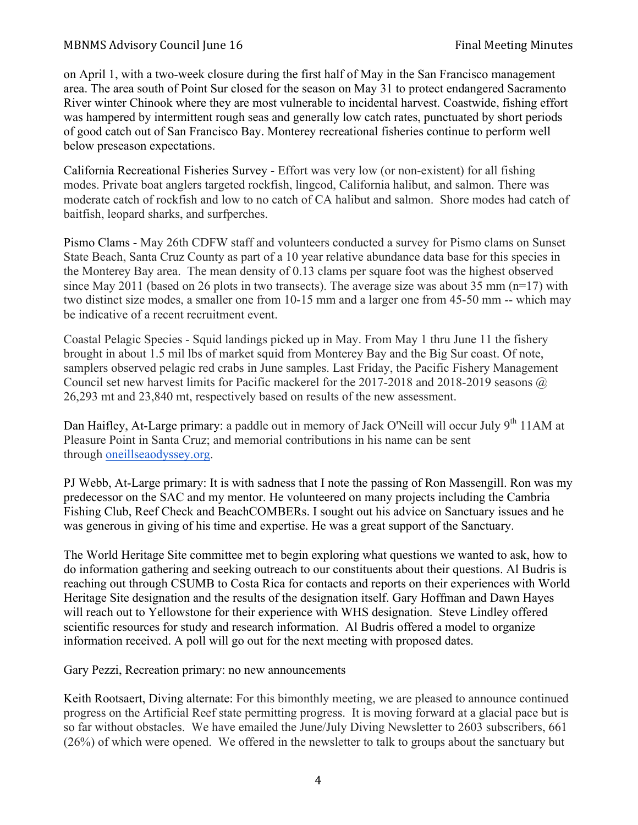on April 1, with a two-week closure during the first half of May in the San Francisco management area. The area south of Point Sur closed for the season on May 31 to protect endangered Sacramento River winter Chinook where they are most vulnerable to incidental harvest. Coastwide, fishing effort was hampered by intermittent rough seas and generally low catch rates, punctuated by short periods of good catch out of San Francisco Bay. Monterey recreational fisheries continue to perform well below preseason expectations.

California Recreational Fisheries Survey - Effort was very low (or non-existent) for all fishing modes. Private boat anglers targeted rockfish, lingcod, California halibut, and salmon. There was moderate catch of rockfish and low to no catch of CA halibut and salmon. Shore modes had catch of baitfish, leopard sharks, and surfperches.

Pismo Clams - May 26th CDFW staff and volunteers conducted a survey for Pismo clams on Sunset State Beach, Santa Cruz County as part of a 10 year relative abundance data base for this species in the Monterey Bay area. The mean density of 0.13 clams per square foot was the highest observed since May 2011 (based on 26 plots in two transects). The average size was about 35 mm ( $n=17$ ) with two distinct size modes, a smaller one from 10-15 mm and a larger one from 45-50 mm -- which may be indicative of a recent recruitment event.

Coastal Pelagic Species - Squid landings picked up in May. From May 1 thru June 11 the fishery brought in about 1.5 mil lbs of market squid from Monterey Bay and the Big Sur coast. Of note, samplers observed pelagic red crabs in June samples. Last Friday, the Pacific Fishery Management Council set new harvest limits for Pacific mackerel for the 2017-2018 and 2018-2019 seasons @ 26,293 mt and 23,840 mt, respectively based on results of the new assessment.

Dan Haifley, At-Large primary: a paddle out in memory of Jack O'Neill will occur July 9<sup>th</sup> 11AM at Pleasure Point in Santa Cruz; and memorial contributions in his name can be sent through oneillseaodyssey.org.

PJ Webb, At-Large primary: It is with sadness that I note the passing of Ron Massengill. Ron was my predecessor on the SAC and my mentor. He volunteered on many projects including the Cambria Fishing Club, Reef Check and BeachCOMBERs. I sought out his advice on Sanctuary issues and he was generous in giving of his time and expertise. He was a great support of the Sanctuary.

The World Heritage Site committee met to begin exploring what questions we wanted to ask, how to do information gathering and seeking outreach to our constituents about their questions. Al Budris is reaching out through CSUMB to Costa Rica for contacts and reports on their experiences with World Heritage Site designation and the results of the designation itself. Gary Hoffman and Dawn Hayes will reach out to Yellowstone for their experience with WHS designation. Steve Lindley offered scientific resources for study and research information. Al Budris offered a model to organize information received. A poll will go out for the next meeting with proposed dates.

Gary Pezzi, Recreation primary: no new announcements

Keith Rootsaert, Diving alternate: For this bimonthly meeting, we are pleased to announce continued progress on the Artificial Reef state permitting progress. It is moving forward at a glacial pace but is so far without obstacles. We have emailed the June/July Diving Newsletter to 2603 subscribers, 661 (26%) of which were opened. We offered in the newsletter to talk to groups about the sanctuary but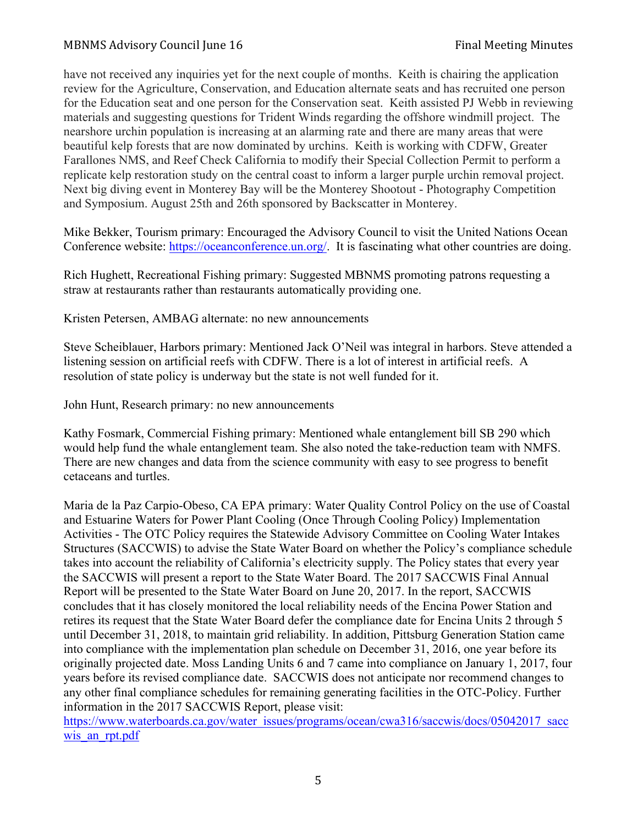have not received any inquiries yet for the next couple of months. Keith is chairing the application review for the Agriculture, Conservation, and Education alternate seats and has recruited one person for the Education seat and one person for the Conservation seat. Keith assisted PJ Webb in reviewing materials and suggesting questions for Trident Winds regarding the offshore windmill project. The nearshore urchin population is increasing at an alarming rate and there are many areas that were beautiful kelp forests that are now dominated by urchins. Keith is working with CDFW, Greater Farallones NMS, and Reef Check California to modify their Special Collection Permit to perform a replicate kelp restoration study on the central coast to inform a larger purple urchin removal project. Next big diving event in Monterey Bay will be the Monterey Shootout - Photography Competition and Symposium. August 25th and 26th sponsored by Backscatter in Monterey.

Mike Bekker, Tourism primary: Encouraged the Advisory Council to visit the United Nations Ocean Conference website: https://oceanconference.un.org/. It is fascinating what other countries are doing.

Rich Hughett, Recreational Fishing primary: Suggested MBNMS promoting patrons requesting a straw at restaurants rather than restaurants automatically providing one.

Kristen Petersen, AMBAG alternate: no new announcements

Steve Scheiblauer, Harbors primary: Mentioned Jack O'Neil was integral in harbors. Steve attended a listening session on artificial reefs with CDFW. There is a lot of interest in artificial reefs. A resolution of state policy is underway but the state is not well funded for it.

John Hunt, Research primary: no new announcements

Kathy Fosmark, Commercial Fishing primary: Mentioned whale entanglement bill SB 290 which would help fund the whale entanglement team. She also noted the take-reduction team with NMFS. There are new changes and data from the science community with easy to see progress to benefit cetaceans and turtles.

Maria de la Paz Carpio-Obeso, CA EPA primary: Water Quality Control Policy on the use of Coastal and Estuarine Waters for Power Plant Cooling (Once Through Cooling Policy) Implementation Activities - The OTC Policy requires the Statewide Advisory Committee on Cooling Water Intakes Structures (SACCWIS) to advise the State Water Board on whether the Policy's compliance schedule takes into account the reliability of California's electricity supply. The Policy states that every year the SACCWIS will present a report to the State Water Board. The 2017 SACCWIS Final Annual Report will be presented to the State Water Board on June 20, 2017. In the report, SACCWIS concludes that it has closely monitored the local reliability needs of the Encina Power Station and retires its request that the State Water Board defer the compliance date for Encina Units 2 through 5 until December 31, 2018, to maintain grid reliability. In addition, Pittsburg Generation Station came into compliance with the implementation plan schedule on December 31, 2016, one year before its originally projected date. Moss Landing Units 6 and 7 came into compliance on January 1, 2017, four years before its revised compliance date. SACCWIS does not anticipate nor recommend changes to any other final compliance schedules for remaining generating facilities in the OTC-Policy. Further information in the 2017 SACCWIS Report, please visit:

https://www.waterboards.ca.gov/water\_issues/programs/ocean/cwa316/saccwis/docs/05042017\_sacc wis an rpt.pdf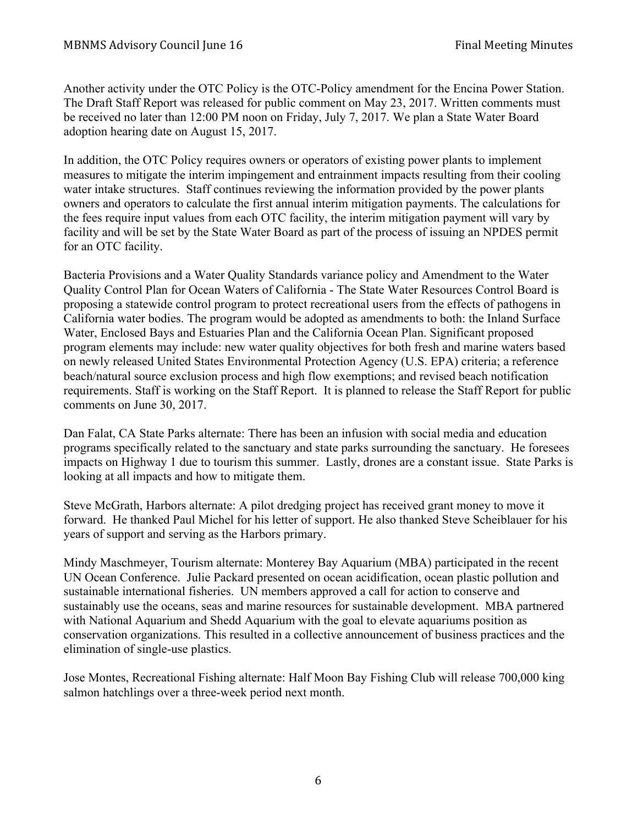Another activity under the OTC Policy is the OTC-Policy amendment for the Encina Power Station. The Draft Staff Report was released for public comment on May 23, 2017. Written comments must be received no later than 12:00 PM noon on Friday, July 7, 2017. We plan a State Water Board adoption hearing date on August 15, 2017.

In addition, the OTC Policy requires owners or operators of existing power plants to implement measures to mitigate the interim impingement and entrainment impacts resulting from their cooling water intake structures. Staff continues reviewing the information provided by the power plants owners and operators to calculate the first annual interim mitigation payments. The calculations for the fees require input values from each OTC facility, the interim mitigation payment will vary by facility and will be set by the State Water Board as part of the process of issuing an NPDES permit for an OTC facility.

Bacteria Provisions and a Water Quality Standards variance policy and Amendment to the Water Quality Control Plan for Ocean Waters of California - The State Water Resources Control Board is proposing a statewide control program to protect recreational users from the effects of pathogens in California water bodies. The program would be adopted as amendments to both: the Inland Surface Water, Enclosed Bays and Estuaries Plan and the California Ocean Plan. Significant proposed program elements may include: new water quality objectives for both fresh and marine waters based on newly released United States Environmental Protection Agency (U.S. EPA) criteria; a reference beach/natural source exclusion process and high flow exemptions; and revised beach notification requirements. Staff is working on the Staff Report. It is planned to release the Staff Report for public comments on June 30, 2017.

Dan Falat, CA State Parks alternate: There has been an infusion with social media and education programs specifically related to the sanctuary and state parks surrounding the sanctuary. He foresees impacts on Highway 1 due to tourism this summer. Lastly, drones are a constant issue. State Parks is looking at all impacts and how to mitigate them.

Steve McGrath, Harbors alternate: A pilot dredging project has received grant money to move it forward. He thanked Paul Michel for his letter of support. He also thanked Steve Scheiblauer for his years of support and serving as the Harbors primary.

Mindy Maschmeyer, Tourism alternate: Monterey Bay Aquarium (MBA) participated in the recent UN Ocean Conference. Julie Packard presented on ocean acidification, ocean plastic pollution and sustainable international fisheries. UN members approved a call for action to conserve and sustainably use the oceans, seas and marine resources for sustainable development. MBA partnered with National Aquarium and Shedd Aquarium with the goal to elevate aquariums position as conservation organizations. This resulted in a collective announcement of business practices and the elimination of single-use plastics.

Jose Montes, Recreational Fishing alternate: Half Moon Bay Fishing Club will release 700,000 king salmon hatchlings over a three-week period next month.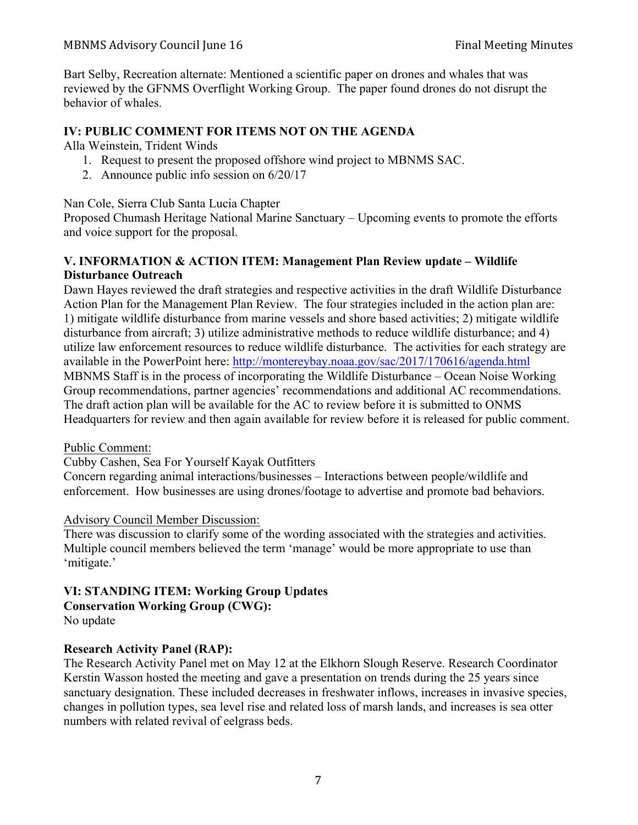Bart Selby, Recreation alternate: Mentioned a scientific paper on drones and whales that was reviewed by the GFNMS Overflight Working Group. The paper found drones do not disrupt the behavior of whales.

## **IV: PUBLIC COMMENT FOR ITEMS NOT ON THE AGENDA**

Alla Weinstein, Trident Winds

- 1. Request to present the proposed offshore wind project to MBNMS SAC.
- 2. Announce public info session on 6/20/17

Nan Cole, Sierra Club Santa Lucia Chapter

Proposed Chumash Heritage National Marine Sanctuary – Upcoming events to promote the efforts and voice support for the proposal.

## **V. INFORMATION & ACTION ITEM: Management Plan Review update – Wildlife Disturbance Outreach**

Dawn Hayes reviewed the draft strategies and respective activities in the draft Wildlife Disturbance Action Plan for the Management Plan Review. The four strategies included in the action plan are: 1) mitigate wildlife disturbance from marine vessels and shore based activities; 2) mitigate wildlife disturbance from aircraft; 3) utilize administrative methods to reduce wildlife disturbance; and 4) utilize law enforcement resources to reduce wildlife disturbance. The activities for each strategy are available in the PowerPoint here: http://montereybay.noaa.gov/sac/2017/170616/agenda.html MBNMS Staff is in the process of incorporating the Wildlife Disturbance – Ocean Noise Working Group recommendations, partner agencies' recommendations and additional AC recommendations. The draft action plan will be available for the AC to review before it is submitted to ONMS Headquarters for review and then again available for review before it is released for public comment.

Public Comment:

Cubby Cashen, Sea For Yourself Kayak Outfitters

Concern regarding animal interactions/businesses – Interactions between people/wildlife and enforcement. How businesses are using drones/footage to advertise and promote bad behaviors.

#### Advisory Council Member Discussion:

There was discussion to clarify some of the wording associated with the strategies and activities. Multiple council members believed the term 'manage' would be more appropriate to use than 'mitigate.'

#### **VI: STANDING ITEM: Working Group Updates Conservation Working Group (CWG):** No update

#### **Research Activity Panel (RAP):**

The Research Activity Panel met on May 12 at the Elkhorn Slough Reserve. Research Coordinator Kerstin Wasson hosted the meeting and gave a presentation on trends during the 25 years since sanctuary designation. These included decreases in freshwater inflows, increases in invasive species, changes in pollution types, sea level rise and related loss of marsh lands, and increases is sea otter numbers with related revival of eelgrass beds.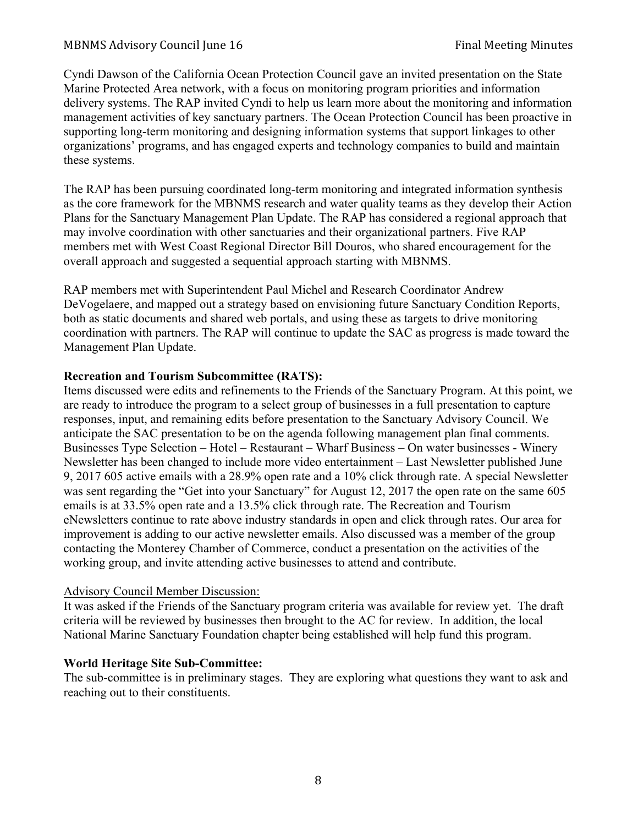Cyndi Dawson of the California Ocean Protection Council gave an invited presentation on the State Marine Protected Area network, with a focus on monitoring program priorities and information delivery systems. The RAP invited Cyndi to help us learn more about the monitoring and information management activities of key sanctuary partners. The Ocean Protection Council has been proactive in supporting long-term monitoring and designing information systems that support linkages to other organizations' programs, and has engaged experts and technology companies to build and maintain these systems.

The RAP has been pursuing coordinated long-term monitoring and integrated information synthesis as the core framework for the MBNMS research and water quality teams as they develop their Action Plans for the Sanctuary Management Plan Update. The RAP has considered a regional approach that may involve coordination with other sanctuaries and their organizational partners. Five RAP members met with West Coast Regional Director Bill Douros, who shared encouragement for the overall approach and suggested a sequential approach starting with MBNMS.

RAP members met with Superintendent Paul Michel and Research Coordinator Andrew DeVogelaere, and mapped out a strategy based on envisioning future Sanctuary Condition Reports, both as static documents and shared web portals, and using these as targets to drive monitoring coordination with partners. The RAP will continue to update the SAC as progress is made toward the Management Plan Update.

#### **Recreation and Tourism Subcommittee (RATS):**

Items discussed were edits and refinements to the Friends of the Sanctuary Program. At this point, we are ready to introduce the program to a select group of businesses in a full presentation to capture responses, input, and remaining edits before presentation to the Sanctuary Advisory Council. We anticipate the SAC presentation to be on the agenda following management plan final comments. Businesses Type Selection – Hotel – Restaurant – Wharf Business – On water businesses - Winery Newsletter has been changed to include more video entertainment – Last Newsletter published June 9, 2017 605 active emails with a 28.9% open rate and a 10% click through rate. A special Newsletter was sent regarding the "Get into your Sanctuary" for August 12, 2017 the open rate on the same 605 emails is at 33.5% open rate and a 13.5% click through rate. The Recreation and Tourism eNewsletters continue to rate above industry standards in open and click through rates. Our area for improvement is adding to our active newsletter emails. Also discussed was a member of the group contacting the Monterey Chamber of Commerce, conduct a presentation on the activities of the working group, and invite attending active businesses to attend and contribute.

#### Advisory Council Member Discussion:

It was asked if the Friends of the Sanctuary program criteria was available for review yet. The draft criteria will be reviewed by businesses then brought to the AC for review. In addition, the local National Marine Sanctuary Foundation chapter being established will help fund this program.

#### **World Heritage Site Sub-Committee:**

The sub-committee is in preliminary stages. They are exploring what questions they want to ask and reaching out to their constituents.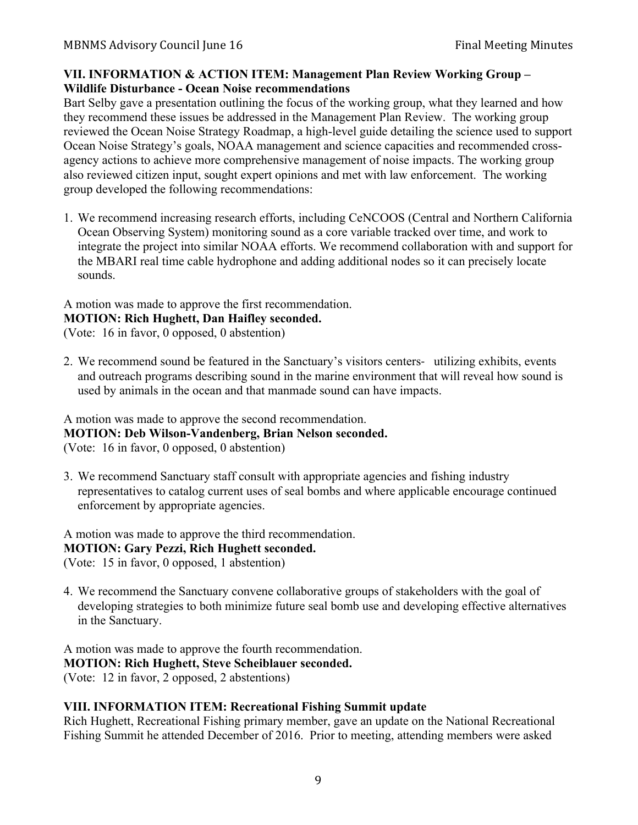### **VII. INFORMATION & ACTION ITEM: Management Plan Review Working Group – Wildlife Disturbance - Ocean Noise recommendations**

Bart Selby gave a presentation outlining the focus of the working group, what they learned and how they recommend these issues be addressed in the Management Plan Review. The working group reviewed the Ocean Noise Strategy Roadmap, a high-level guide detailing the science used to support Ocean Noise Strategy's goals, NOAA management and science capacities and recommended crossagency actions to achieve more comprehensive management of noise impacts. The working group also reviewed citizen input, sought expert opinions and met with law enforcement. The working group developed the following recommendations:

1. We recommend increasing research efforts, including CeNCOOS (Central and Northern California Ocean Observing System) monitoring sound as a core variable tracked over time, and work to integrate the project into similar NOAA efforts. We recommend collaboration with and support for the MBARI real time cable hydrophone and adding additional nodes so it can precisely locate sounds.

# A motion was made to approve the first recommendation.

#### **MOTION: Rich Hughett, Dan Haifley seconded.**

(Vote: 16 in favor, 0 opposed, 0 abstention)

2. We recommend sound be featured in the Sanctuary's visitors centers- utilizing exhibits, events and outreach programs describing sound in the marine environment that will reveal how sound is used by animals in the ocean and that manmade sound can have impacts.

#### A motion was made to approve the second recommendation. **MOTION: Deb Wilson-Vandenberg, Brian Nelson seconded.** (Vote: 16 in favor, 0 opposed, 0 abstention)

3. We recommend Sanctuary staff consult with appropriate agencies and fishing industry representatives to catalog current uses of seal bombs and where applicable encourage continued enforcement by appropriate agencies.

## A motion was made to approve the third recommendation. **MOTION: Gary Pezzi, Rich Hughett seconded.**

(Vote: 15 in favor, 0 opposed, 1 abstention)

4. We recommend the Sanctuary convene collaborative groups of stakeholders with the goal of developing strategies to both minimize future seal bomb use and developing effective alternatives in the Sanctuary.

A motion was made to approve the fourth recommendation. **MOTION: Rich Hughett, Steve Scheiblauer seconded.** (Vote: 12 in favor, 2 opposed, 2 abstentions)

## **VIII. INFORMATION ITEM: Recreational Fishing Summit update**

Rich Hughett, Recreational Fishing primary member, gave an update on the National Recreational Fishing Summit he attended December of 2016. Prior to meeting, attending members were asked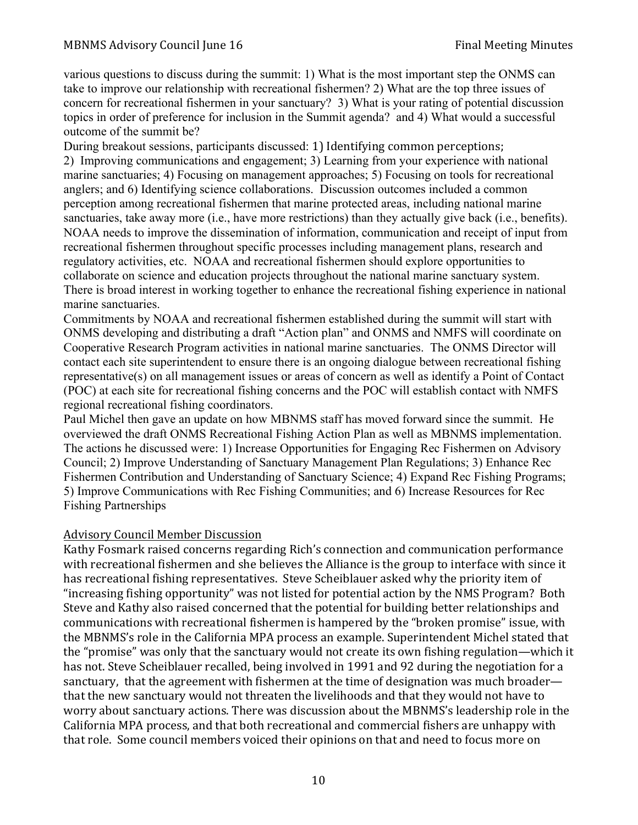various questions to discuss during the summit: 1) What is the most important step the ONMS can take to improve our relationship with recreational fishermen? 2) What are the top three issues of concern for recreational fishermen in your sanctuary? 3) What is your rating of potential discussion topics in order of preference for inclusion in the Summit agenda? and 4) What would a successful outcome of the summit be?

During breakout sessions, participants discussed: 1) Identifying common perceptions; 2) Improving communications and engagement; 3) Learning from your experience with national marine sanctuaries; 4) Focusing on management approaches; 5) Focusing on tools for recreational anglers; and 6) Identifying science collaborations. Discussion outcomes included a common perception among recreational fishermen that marine protected areas, including national marine sanctuaries, take away more (i.e., have more restrictions) than they actually give back (i.e., benefits). NOAA needs to improve the dissemination of information, communication and receipt of input from recreational fishermen throughout specific processes including management plans, research and regulatory activities, etc. NOAA and recreational fishermen should explore opportunities to collaborate on science and education projects throughout the national marine sanctuary system. There is broad interest in working together to enhance the recreational fishing experience in national marine sanctuaries.

Commitments by NOAA and recreational fishermen established during the summit will start with ONMS developing and distributing a draft "Action plan" and ONMS and NMFS will coordinate on Cooperative Research Program activities in national marine sanctuaries. The ONMS Director will contact each site superintendent to ensure there is an ongoing dialogue between recreational fishing representative(s) on all management issues or areas of concern as well as identify a Point of Contact (POC) at each site for recreational fishing concerns and the POC will establish contact with NMFS regional recreational fishing coordinators.

Paul Michel then gave an update on how MBNMS staff has moved forward since the summit. He overviewed the draft ONMS Recreational Fishing Action Plan as well as MBNMS implementation. The actions he discussed were: 1) Increase Opportunities for Engaging Rec Fishermen on Advisory Council; 2) Improve Understanding of Sanctuary Management Plan Regulations; 3) Enhance Rec Fishermen Contribution and Understanding of Sanctuary Science; 4) Expand Rec Fishing Programs; 5) Improve Communications with Rec Fishing Communities; and 6) Increase Resources for Rec Fishing Partnerships

#### Advisory Council Member Discussion

Kathy Fosmark raised concerns regarding Rich's connection and communication performance with recreational fishermen and she believes the Alliance is the group to interface with since it has recreational fishing representatives. Steve Scheiblauer asked why the priority item of "increasing fishing opportunity" was not listed for potential action by the NMS Program? Both Steve and Kathy also raised concerned that the potential for building better relationships and communications with recreational fishermen is hampered by the "broken promise" issue, with the MBNMS's role in the California MPA process an example. Superintendent Michel stated that the "promise" was only that the sanctuary would not create its own fishing regulation—which it has not. Steve Scheiblauer recalled, being involved in 1991 and 92 during the negotiation for a sanctuary, that the agreement with fishermen at the time of designation was much broader that the new sanctuary would not threaten the livelihoods and that they would not have to worry about sanctuary actions. There was discussion about the MBNMS's leadership role in the California MPA process, and that both recreational and commercial fishers are unhappy with that role. Some council members voiced their opinions on that and need to focus more on